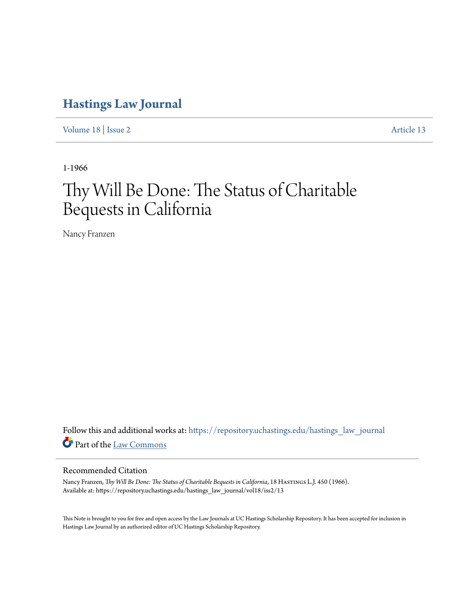# **[Hastings Law Journal](https://repository.uchastings.edu/hastings_law_journal?utm_source=repository.uchastings.edu%2Fhastings_law_journal%2Fvol18%2Fiss2%2F13&utm_medium=PDF&utm_campaign=PDFCoverPages)**

[Volume 18](https://repository.uchastings.edu/hastings_law_journal/vol18?utm_source=repository.uchastings.edu%2Fhastings_law_journal%2Fvol18%2Fiss2%2F13&utm_medium=PDF&utm_campaign=PDFCoverPages) | [Issue 2](https://repository.uchastings.edu/hastings_law_journal/vol18/iss2?utm_source=repository.uchastings.edu%2Fhastings_law_journal%2Fvol18%2Fiss2%2F13&utm_medium=PDF&utm_campaign=PDFCoverPages) [Article 13](https://repository.uchastings.edu/hastings_law_journal/vol18/iss2/13?utm_source=repository.uchastings.edu%2Fhastings_law_journal%2Fvol18%2Fiss2%2F13&utm_medium=PDF&utm_campaign=PDFCoverPages)

1-1966

# Thy Will Be Done: The Status of Charitable Bequests in California

Nancy Franzen

Follow this and additional works at: [https://repository.uchastings.edu/hastings\\_law\\_journal](https://repository.uchastings.edu/hastings_law_journal?utm_source=repository.uchastings.edu%2Fhastings_law_journal%2Fvol18%2Fiss2%2F13&utm_medium=PDF&utm_campaign=PDFCoverPages) Part of the [Law Commons](http://network.bepress.com/hgg/discipline/578?utm_source=repository.uchastings.edu%2Fhastings_law_journal%2Fvol18%2Fiss2%2F13&utm_medium=PDF&utm_campaign=PDFCoverPages)

## Recommended Citation

Nancy Franzen, *Thy Will Be Done: The Status of Charitable Bequests in California*, 18 HASTINGS L.J. 450 (1966). Available at: https://repository.uchastings.edu/hastings\_law\_journal/vol18/iss2/13

This Note is brought to you for free and open access by the Law Journals at UC Hastings Scholarship Repository. It has been accepted for inclusion in Hastings Law Journal by an authorized editor of UC Hastings Scholarship Repository.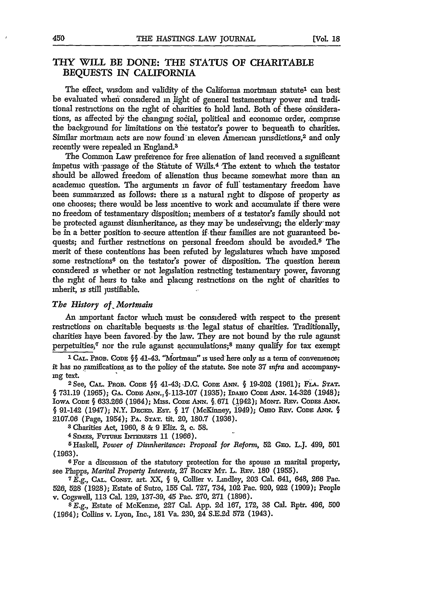### *THY* WILL BE **DONE:** THE **STATUS** OF CHARITABLE **BEQUESTS IN CALIFORNIA**

The effect, wisdom and validity of the California mortmain statute<sup>1</sup> can best be evaluated wheii considered **in** light of general testamentary power and traditional restrictions on the right of charities to hold land. Both of these considerations, as affected by the changing social, political and economic order, comprise the background for limitations on the testator's power to bequeath to charities. Similar mortmam acts are now found in eleven American jurisdictions,<sup>2</sup> and only recently were repealed **in** England.<sup>3</sup>

The Common Law preference for free alienation of land received a significant impetus with -passage of the Statute of Wills.4 The extent to which the testator should be allowed freedom of alienation thus became somewhat more than an academic question. The arguments in favor of full' testamentary freedom have been summarized as follows: there **is** a natural right to dispose of property as one chooses; there would be less incentive to work and accumulate if there were no freedom of testamentary disposition; members of **g** testator's family should not be protected agamst disinheritance, as they may be undeserving; the elderly' may be in a better position to secure attention if their families are not guaranteed bequests; and further restrictions on personal freedom should be avoided.<sup>5</sup> The merit of these contentions has been refuted by legislatures which have imposed some restrictions<sup>6</sup> on the testator's power of disposition. The question herein considered is whether or not legislation restricting testamentary power, favoring the right of heirs to take and placing restrictions on the right of charities to inherit, is still justifiable.

#### *The History of Mortmain*

An important factor which must be considered with respect to the present restrictions on charitable bequests is the legal status of charities. Traditionally, charities have been favored-by the law. They are not bound by the rule against perpetuities, $^q$  nor the rule against accumulations; $^8$  many qualify for tax exempt

**I CAL.** PnoB. CODE **§§** 41-43. "Mortmain" is used here only as a term of convenience; it has no ramifications- as to the policy of the statute. See note 37 *infra* and accompany-

ng text. <sup>2</sup> See, CAL. Prob. Code  $\S$ § 41-43; D.C. Code Ann. § 19-202 (1961); FLA. Stat. § **731.19** (1965); **GA. CODE ANN.§.113-107** (1935); InArO **CODE Am.** 14-326 (1948); **IOwA CODE § 633.266** (1964); Miss. **CODE ANN. §. 671** (,1942); **MoNT. Ev.** CoDEs **ANN.** § 91-142 (1947); N.Y. DECEm. EsT. **§ 17** (McKinney, 1949); *Omo* REv. CoDE *ANN.* § **2107.06** (Page, 1954); PA. **STAT.** tit. 20, **180.7 (1936).**

**3** Charities Act, **1960, 8** & 9 Eliz. 2, c. **58.**

**4** *Sn4vs,* Ft-runn ITERx-sTs **11 (1966).**

5 Haskell, *Power of Disinheritance: Proposal for Reform,* 52 GEo. L.J. 499, **501** (1963).

**6** For a discussion of the statutory protection for the spouse **in** marital property, see Phipps, *Marital Property Interests,* **27** Rocx Mr. L. **REv. 180** (1955).

**7** E.g., **CAL.** CoNsT. art. XX, **§** 9, Collier v. Lindley, 203 Cal. 641, 648, **266** Pac. 526, 528 (1928); Estate of Sutro, **155** Cal. 727, 734, 102 Pac. 920, 922 (1909); People v. Cogswell, 113 Cal. 129, 137-39, 45 Pac. 270, 271 (1896).

**<sup>8</sup>**E.g., Estate of McKenzie, **227** Cal. App. **2d** 167, 172, **38** Cal. Rptr. 496, 500 (1964); Collins v. Lyon, Inc., 181 Va. 230, 24 S.E.2d 572 (1943).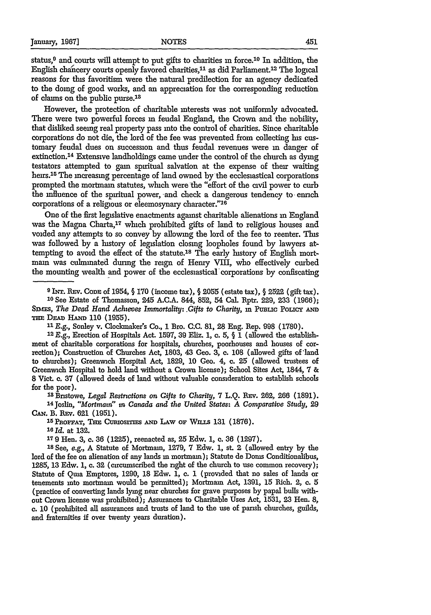status,<sup>9</sup> and courts will attempt to put gifts to charities in force.<sup>10</sup> In addition, the English chancery courts openly favored charities, $^{11}$  as did Parliament.<sup>12</sup> The logical reasons for this favoritism were the natural predilection for an agency dedicated to the doing of good works, and an appreciation for the corresponding reduction of claims on the public purse.<sup>18</sup>

However, the protection of charitable interests was not uniformly advocated. There were two powerful forces **in** feudal England, the Crown and the nobility, that disliked seeing real property pass into the control of charities. Since charitable corporations do not die, the lord of the fee was prevented from collecting **Ins** customary feudal dues on succession and thus feudal revenues were in danger of extinction.<sup>14</sup> Extensive landholdings came under the control of the church as dying testators attempted to gain spiritual salvation at the expense of their waiting heirs.<sup>15</sup> The increasing percentage of land owned by the ecclesiastical corporations prompted the mortmain statutes, which were the "effort of the civil power to curb the influence of the spiritual power, and check a dangerous tendency to enrich corporations of a religious or eleemosynary character."<sup>16</sup>

One of the first legislative enactments against charitable alienations **in** England was the Magna Charta,17 which prohibited gifts of land to religious houses and voided any attempts to so convey by allowing the lord of the fee to reenter. This was followed by a history of legislation closing loopholes found by lawyers attempting to avoid the effect of the statute.<sup>18</sup> The early history of English mortmain was culminated during the reign of Henry VIII, who effectively curbed the mounting wealth and power of the ecclesiastical corporations **by** confiscating

12 E.g., Erection of Hospitals Act. 1597, 39 Eliz. 1, c. 5, § **1** (allowed the establishment of charitable corporations for hospitals, churches, poorhouses and houses of correction); Construction of Churches Act, 1803, 43 Geo. **3,** c. 108 (allowed gifts of'land to churches); Greenwich Hospital Act, **1829,** 10 Geo. 4, **c. 25** (allowed trustees of Greenwich Hospital to hold land without a Crown license); School Sites Act, 1844, 7 & **8** Vict. **c. 37** (allowed deeds of land without valuable consideration to establish schools for the poor).

<sup>13</sup> Bristowe, *Legal Restrictions on Gifts to Charity*, 7 L.Q. Rev. 262, 266 (1891). 14Joslin, *"Mortmatn" in Canada and the United States: A Comparative Study,* 29 CAN. B. REv. 621 (1951).

**<sup>15</sup>PtnozAT,** TisE Cmuosrrms **AND** LAw **OF** Wanis **131 (1876).**

**'Old.** at **132.**

**<sup>179</sup>**Hen. **3,** c. **36 (1225),** reenacted as, **25** Edw. **1, c. 36 (1297). <sup>18</sup>**See, e.g., A Statute of Mortmamn, **1279, 7** Edw. **1,** st. 2 (allowed entry by the lord of the fee on alienation of any lands in mortmam); Statute de Donis Conditionalibus, **1285, 13** Edw. **1, c. 32** (circumscribed the right of the church to use common recovery); Statute of Qua Emptores, 1290, **18** Edw. **1,** c. **1** (provided that no sales of lands or tenements into mortmain would be permitted); Mortmain Act, 1391, **15** Rich. 2, **c.** 5 (practice of converting lands lying near churches for grave purposes **by** papal bulls without Crown license was prohibited); Assurances to Charitable Uses Act, 1531, **23** Hen. 8, c. **10** (prohibited all assurances and trusts of land to the use of parish churches, guilds, and fraternities **if** over twenty years duration).

**<sup>9</sup>**INT. 1Ev. CoDE of 1954, § **170** (income tax), § 2055 (estate tax), § **2522** (gift tax).

**<sup>10</sup>** See Estate of Thomasson, 245 A.C.A. 844, 852, 54 Cal. Rptr. 229, 233 (1966); *SIMES, The Dead Hand Achieves Immortality: Gifts to Charity, in PuBLIC POLICY AND* THE DEAD HAND 110 (1955).

*<sup>&</sup>quot;1* E.g., Sonley v. Cloclanaker's Co., **1** Bro. CC. **81, 28** Eng. Rep. 998 (1780).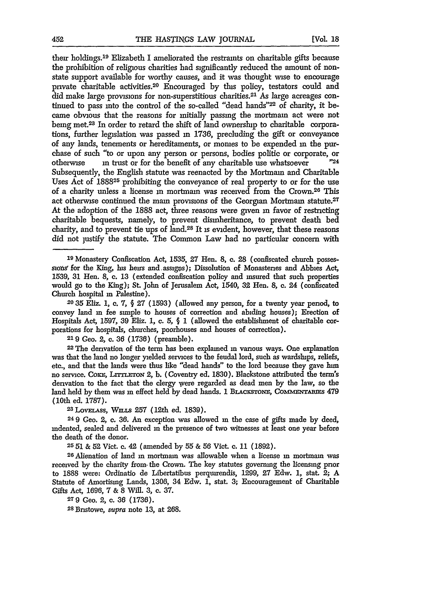their holdings.<sup>19</sup> Elizabeth I ameliorated the restraints on charitable gifts because the prohibition of religious charities had significantly reduced the amount of nonstate support available for worthy causes, and it was thought wise to encourage private charitable activities.<sup>20</sup> Encouraged by this policy, testators could and did make large provisions for non-superstitious charities. 21 As large acreages continued to pass into the control of the so-called "dead hands"22 of charity, it became obvious that the reasons for initially passing the mortmain act were not being met.<sup>23</sup> In order to retard the shift of land ownership to charitable corporations, further legislation was passed in 1736, precluding the gift or conveyance of any lands, tenements or hereditaments, or momes to be expended **in** the purchase of such "to or upon any person or persons, bodies politic or corporate, or otherwise **in** trust or for the benefit of any charitable use whatsoever **"24** Subsequently, the English statute was reenacted by the Mortmain and Charitable Uses Act of 188825 prohibiting the conveyance of real property to or for the use of a charity unless a license in mortmain was received from the Crown.28 This act otherwise continued the main provisions of the Georgian Mortmain statute.<sup>27</sup> At the adoption of the 1888 act, three reasons were given in favor of restricting charitable bequests, namely, to prevent disinheritance, to prevent death bed charity, and to prevent tie ups of land.28 It is evident, however, that these reasons did not justify the statute. The Common Law had no particular concern with

**39** Monastery Confiscation Act, 1535, 27 Hen. 8, **c. 28** (confiscated church possessions for the King, his heirs and assigns); Dissolution of Monasteries and Abbies Act, **1539, 31** Hen. 8, c. **13** (extended confiscation policy and insured that such properties would go to the King); St. John of Jerusalem Act, 1540, **32** Hen. **8, c.** 24 (confiscated Church hospital m Palestine).

**2035** Eliz. **1,** c. 7, § 27 (1593) (allowed any person, for a twenty year period, to convey land m fee sinple to houses of correction and abiding houses); Erection of Hospitals Act, 1597, **39** Eliz. **1,** c. 5, *§* **1** (allowed the establishment of charitable corporations for hospitals, churches, poorhouses and houses of correction).

**219** Ceo. 2, c. **36** (1736) (preamble).

22 The derivation of the term has been explained **in** various ways. One explanation was that the land no longer yielded services to the feudal lord, such as wardships, reliefs, etc., and that the lands were thus like "dead hands" to the lord because they gave him no service. CoxE, Lrrr.rro N 2, **b.** (Coventry ed. 1830). Blackstone attributed the term's derivation to the fact that the clergy were regarded as dead men **by** the law, so the land held by them was in effect held by dead hands. I BLACKSTONE, COMMENTARIES 479 (10th ed. 1787). **<sup>23</sup>**LovE\_.Lss, WuaLs **257** (12th ed. 1839).

**<sup>24</sup>9** Geo. 2, c. **36.** An exception was allowed m the case of gifts made **by** deed, indented, sealed and delivered m the presence of two witnesses at least one year before the death of the donor.

2551 & 52 Vict. c. 42 (amended by 55 **&** 56 Viet. c. 11 (1892).

<sup>2</sup> 6 Alienation of land m mortmain was allowable when a license m mortmain was received by the charity from- the Crown. The key statutes governing the licensing prior to 1888 were: Ordinatio de Libertatibus perquirendis, 1299, 27 Edw. **1,** stat. 2; **A** Statute of Amortismg Lands, 1306, 34 Edw. **1,** stat. 3; Encouragement of Charitable Gifts Act, 1696, 7 & 8 Will. 3, c. 37.

**279** Geo. 2, **c. 36 (1736).**

**28** Bnstowe, *supra* note 13, at 268.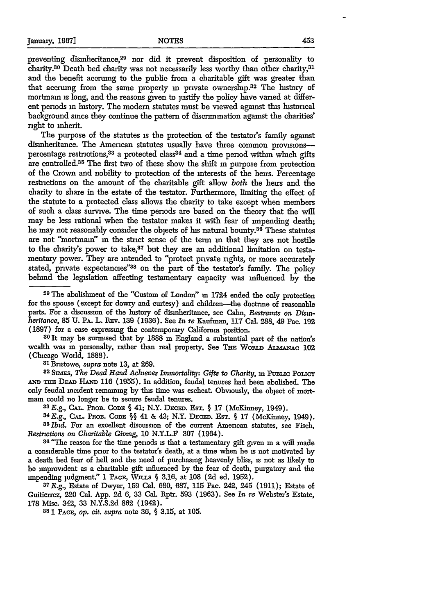preventing dismheritance,<sup>29</sup> nor did it prevent disposition of personality to charity.<sup>30</sup> Death bed charity was not necessarily less worthy than other charity,<sup>31</sup> and the benefit accruing to the public from a charitable gift was greater than that accruing from the same property **in** private ownership.32 The history of mortmain is long, and the reasons given to justify the policy have varied at different periods in history. The modern statutes must be viewed against this historical background since they continue the pattern of discrimination against the charities' right to inherit.

The purpose of the statutes is the protection of the testator's family against disinheritance. The American statutes usually have three common provisionspercentage restrictions,<sup>33</sup> a protected class<sup>34</sup> and a time period within which gifts are controlled.<sup>35</sup> The first two of these show the shift in purpose from protection of the Crown and nobility to protection of the interests of the heirs. Percentage restrictions on the amount of the charitable gift allow *both* the heirs and the charity to share in the estate of the testator. Furthermore, limiting the effect of the statute to a protected class allows the charity to take except when members of such a class survive. The time periods are based on the theory that the will may be less rational when the testator makes it with fear of impending death; he may not reasonably consider the objects of his natural bounty.<sup>36</sup> These statutes are not "mortmai" in the strict sense of the term **in** that they are not hostile to the charity's power to take,<sup>37</sup> but they are an additional limitation on testamentary power. They are intended to "protect private rights, or more accurately stated, private expectancies"38 on the part of the testator's family. The policy behind the legislation affecting testamentary capacity was influenced **by** the

wealth was **in** personalty, rather than real property. See THE Wouz **ALMANAC** 102 (Chicago World, 1888). **<sup>31</sup>**Bnstowe, *supra* note **13,** at 269. *<sup>3</sup>*

<sup>32</sup> SIMES, The Dead Hand Achteves Immortality: Gifts to Charity, in PUBLIC POLICY AND THE DEAD HAND 116 (1955). In addition, feudal tenures had been abolished. The only feudal incident remaining **by** this time was escheat. Obviously, the object of mortmain could no longer be to secure feudal tenures.

**<sup>33</sup>***E.g.,* **CAL. PnoB. CODE §** 41; N.Y. DECED. EsT. § 17 (McKinney, 1949).

**<sup>34</sup>**E.g., CAL. Pnon. **CODE** §§ 41 **&** 43; N.Y. DEcED. EsT. § 17 (McKinney, 1949). *35Ibid.* For an excellent discussion of the current American statutes, see Fisch, *Restrictions on Charitable Giving,* **10** N.Y.L.F 307 (1964).

**36** *"The* reason for the time periods **is** that a testamentary gift given **in** a will made a considerable time prior to the testators death, at a time when he **is** not motivated **by** a death bed fear of hell and the need of purchasing heavenly bliss, is not as likely to be improvident as a charitable gift influenced **by** the fear of death, purgatory and the npending judgment." **1 PAGE,** WinS § **3.16,** at **108 (2d** ed. **1952).**

**37 E.g.,** Estate of Dwyer, **159** Cal. 680, **687, 115** Pac. 242, 245 **(1911);** Estate of Guitierrez, 220 Cal. App. **2d 6, 33** Cal. Rptr. **593 (1963).** See *In* re Webster's Estate, **178** Misc. 342, **33 N.Y.S.2d 862** (1942).

**38 1 PAGE,** *op. cit. supra* note **36,** § **3.15,** at **105.**

**<sup>29</sup> The** abolishment of the "Custom of London" **in** 1724 ended the only protection for the spouse (except for dowry and curtesy) and children-the doctrine of reasonable parts. For a discussion of the history of disinheritance, see Calm, *Restraints on Disnheritance,* 85 **U. PA.** L. REv. 139 (1936). See *In re* Kaufman, **117** Cal. 288, 49 Pac. **192** (1897) for a case expressing the contemporary California position. **<sup>30</sup>**It may be surmised that by 1888 **in** England a substantial part of the nation's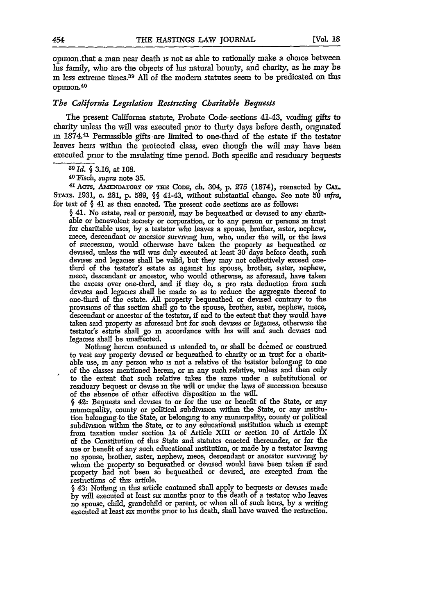opimon.that a man near death is not as able to rationally make a choice between **Ins** family, who are the objects of his natural bounty, and charity, as he may be *in* less extreme times.<sup>39</sup>**All** of the modem statutes seem to be predicated on this opimon. <sup>40</sup>

#### *The California Legislation Restricting Charitable Bequests*

The present California statute, Probate Code sections 41-43, voiding gifts to charity unless the will was executed prior to thirty days before death, originated in 1874.<sup>41</sup> Permissible gifts are limited to one-third of the estate if the testator leaves heirs within the protected class, even though the will may have been executed prior to the insulating time period. Both specific and residuary bequests

*39 Id. §* **3.16,** at **108.**

*4o Fisch, supra* note **35.**

41 AcTs, Amm-AToRy or Tim **CoD,** ch. 304, **p.** *275* (1874), reenacted **by CAL.** STATS. **1931, c. 281,** p. 589, *§§* 41-43, without substantial change. See note 50 *tnfra,* for text of **§** 41 as then enacted. The present code sections are as follows:

**§** 41. No estate, real or personal, may be bequeathed or devised to any charitable or benevolent society or corporation, or to any person or persons **in** trust for charitable uses, **by** a testator who leaves a spouse, brother, sister, nephew, niece, descendant or ancestor surviving him, who, under the will, or the laws of succession, would otherwise have taken the property as bequeathed or devised, unless the will was duly executed at least **30** days before death, such devises and legacies shall be valid, but they may not collectively exceed onethird of the testator's estate as against his spouse, brother, sister, nephew, niece, descendant or ancestor, who would otherwise, as aforesaid, have taken the excess over one-third, and if they do, a pro rata deduction from such devises and legacies shall be made so as to reduce the aggregate thereof to one-third of the estate. All property bequeathed or devised contrary to the provisions of this section shall go to the spouse, brother, sister, nephew, niece, descendant or ancestor of the testator, if and to the extent that they would have taken said property as aforesaid but for such devises or legacies, otherwise the testator's estate shall go in accordance with his will and such devises and legacies shall be unaffected.

Nothing herein contained is intended to, or shall be deemed or construed to vest any property devised or bequeathed to charity or in trust for a charitable use, **in** any person who **is** not a relative of the testator belonging to one of the classes mentioned herein, or in any such relative, unless and then only to the extent that such relative takes the same under a substitutional or residuary bequest or devise in the will or under the laws of succession because of the absence of other effective disposition **in** the will.

**§** 42: Bequests and devises to or for the use or benefit of the State, or any mumcipality, county or political subdivision within the State, or any institution belonging to the State, or belonging to any municipality, county or political subdivision within the State, or to any educational institution which **is** exempt from taxation under section la of Article XII or section **10** of Article IX of the Constitution of this State and statutes enacted thereunder, or for the use or benefit of any such educational institution, or made by a testator leaving no spouse, brother, sister, nephew, niece, descendant or ancestor surviving **by** whom the property so bequeathed or devised would have been taken if said property had not been so bequeathed or devised, are excepted from the restrictions of this article.

§ 43: Nothing in this article contained shall apply to bequests or devises made by will executed at least six months prior to the death of a testator who leaves no spouse, child, grandchild or parent, or when all of such heirs, **by** a writing executed at least six months prior to his death, shall have waived the restriction.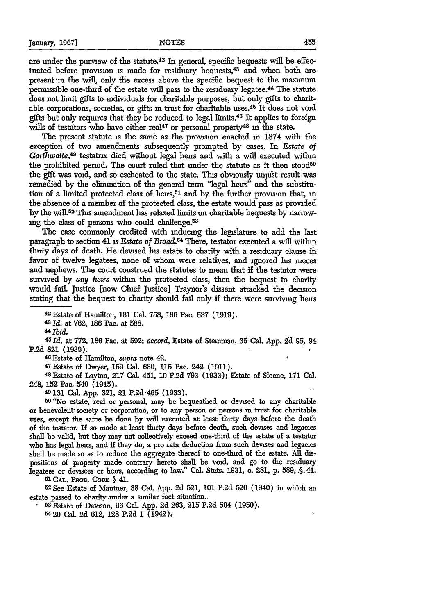are under the purview of the statute.<sup>42</sup> In general, specific bequests will be effectuated before provision is made for residuary bequests,<sup>48</sup> and when both are present'im the will, only the excess above the specific bequest to "the naxmum permissible one-third of the estate will pass to the residuary legatee.<sup>44</sup> The statute does not limit gifts to individuals for charitable purposes, but only gifts to charitable corporations, societies, or gifts in trust for charitable uses.<sup>45</sup> It does not void gifts but only requires that they be reduced to legal limits.46 It applies to foreign wills of testators who have either real<sup>47</sup> or personal property<sup>48</sup> in the state.

The present statute **is** the sam6 as the provision enacted in 1874 with the exception of two amendments subsequently prompted **by** cases. In *Estate of* Garthwaite,<sup>49</sup> testatrix died without legal heirs and with a will executed within the prohibited period. The court ruled that under the statute as it then stood<sup>50</sup> the gift was void, and so escheated to the state. This obviously unjust result was remedied by the elimination of the general term "legal heirs" and the substitution of a limited protected class of heirs,<sup>51</sup> and by the further provision that, in the absence of a member of the protected class, the estate would pass as provided by the will.<sup>52</sup> This amendment has relaxed limits on charitable bequests by narrowing the class of persons who could challenge.<sup>53</sup>

The case commonly credited with inducing the legislature to add the last paragraph to section 41 is *Estate of Broad.64* There, testator executed a will within thirty days of death. He devised his estate to charity with a residuary clause **in** favor of twelve legatees, none of whom were relatives, and ignored his meces and nephews. The court construed the statutes to mean that if the testator were survived by *any heirs* within the protected class, then the bequest to charity would fail. Justice [now Chuef Justice] Traynor's dissent attacked the decision stating that the bequest to charity should fail only if there were surviving heirs

42 Estate of Hamilton, 181 Cal. 758, 186 Pac. 587 (1919).

43 *Id.* at **762, 186** Pac. at 588.

*44 Ibid.*

*45 Id.* at **772, 186** Pac. at 592; *accord,* Estate 'of Stemman, 35 Cal. App. 2d **95,** 94 **P.2d 821 (1939).**

**46** Estate of Hamilton, *supra* note 42.

47Estate of Dwyer, **159** Cal. **680, 115** Pac. 242 **(1911).** 48 Estate of Layton, **217** Cal. 451, **19 P.2d 793 (1933);** Estate of Sloane, **171** Cal. 248, **152** Pac. 540 **(1915).**

**49 131** Cal. App. **321,** 21 P.2d '465 **(1933). <sup>50</sup>**"No estate, real -or personal, may be bequeathed or devised to any charitable or benevolent' society or corporation, or to any person or persons **in** trust for charitable uses, except the same be done by will executed at least thirty days before the death of the testator. If so made at least thirty days before death, such devises and legacies shall be valid, but they may not collectively exceed one-third of the estate of a testator who has legal heirs, and if they do, a pro rata deduction from such devises and legacies shall be made so as to reduce the aggregate thereof to one-third of the estate. **All** dispositions of property made contrary hereto shall be void, and go to the residuary legatees or devisees or heirs, according to law." Cal. Stats. 1931, c. 281, p. 589, § 41.

51 **CAL. PROB.** CODE § 41.

**52See** Estate of Mautner, **38** Cal. **App. 2d** 521, **101** P.2d 520 (1940) in which an estate passed to charity.under a similar fact situation.

a Estate of Davison, **96** Cal. App. 2d 263, **215** P.2d 504 (1950).

**5420** Cal. **2d** 612, **128 P.2d 1** (1942).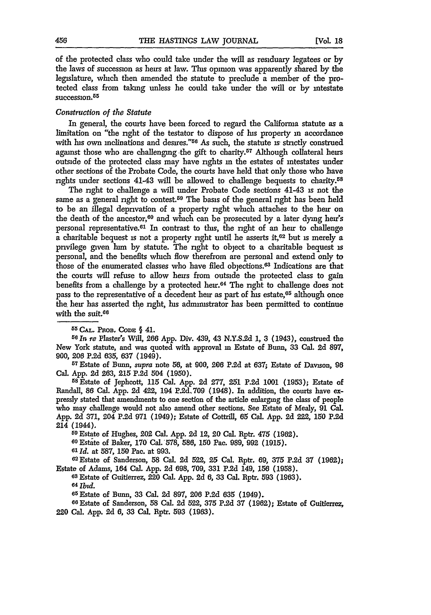of the protected class who could take under the will as residuary legatees or by the laws of succession as heirs at law. This opinion was apparently shared by the legislature, which then amended the statute to preclude a member of the protected class from taking unless he could take under the will or by intestate succession.<sup>55</sup>

#### *Construction of the Statute*

In general, the courts have been forced to regard the California statute as a limitation on "the right of the testator to dispose of Is property **in** accordance with his own inclinations and desires."<sup>56</sup> As such, the statute is strictly construed against those who are challenging the gift to charity.<sup>57</sup> Although collateral heirs outside of the protected class may have rights in the estates of intestates under other sections of the Probate Code, the courts have held that only those who have rights under sections 41-43 will be allowed to challenge bequests to charity.<sup>58</sup>

The right to challenge a will under Probate Code sections 41-43 **is** not the same as a general right to contest.<sup>59</sup> The basis of the general right has been held to be an illegal deprivation of a property right which attaches to the heir on the death of the ancestor, $60$  and which can be prosecuted by a later dying heir's personal representative.<sup>61</sup> In contrast to this, the right of an heir to challenge a charitable bequest is not a property right until he asserts **it,62** but is merely a privilege given him by statute. The right to object to a charitable bequest **is** personal, and the benefits which flow therefrom are personal and extend only to those of the enumerated classes who have filed objections.<sup>63</sup> Indications are that the courts will refuse to allow heirs from outside the protected class to gain benefits from a challenge by a protected heir.<sup>64</sup> The right to challenge does not pass to the representative of a decedent heir as part of his estate, $65$  although once the heir has asserted the right, his administrator has been permitted to continue with the suit.<sup>66</sup>

**55 CAL. PnOB. CODE** § 41.

*<sup>50</sup>In re* Plaster's Will, 266 App. Div. 439, 43 **N.Y.S.2d 1, 3** (1943), construed the New York statute, and was quoted with approval **in** Estate of Bunn, **33** Cal. 2d 897, 900, 206 **P.2d** 635, **637** (1949).

**<sup>57</sup>**Estate of Bunn, *supra* note **56,** at 900, **206 P.2d** at 637; Estate of Davison, 96 Cal. App. 2d 263, **215 P.2d** 504 (1950). <sup>5</sup> <sup>8</sup> Estate of Jephcott, 115 Cal. App. 2d **277, 251 P.2d** 1001 (1953); Estate of

Randall, **86** Cal. App. **2d** 422, 194 **P.2d.709** (1948). In addition, the courts have **ex**pressly stated that amendments to one section of the article enlarging the class of people who may challenge would not also amend other sections. See Estate of Mealy, **91** Cal. App. **2d 371,** 204 **P.2d 971** (1949); Estate of Cottrill, 65 Cal. App. 2d 222, **150 P.2d** 214 (1944).

**5 <sup>9</sup>**Estate of Hughes, 202 Cal. **App.** 2d 12, 20 Cal. Rptr. 475 **(1962).** 60Estate of Baker, **170** Cal. 578, 586, **150** Pac. 989, 992 **(1915).**

*61 Id.* at **587, 150** Pac. at **993.**

**6** Estate of Sanderson, **58 Cal. 2d 522, 25** Cal. Rptr. **69, 375** P.2d **37 (1962);** Estate of Adams, 164 Cal. **App.** 2d **698, 709, 331 P.2d** 149, **156 (1958).**

**63** Estate of Guitierrez, 220 Cal. **App.** 2d 6, **33** Cal. Rptr. **593 (1963).**

64 *Tbzd.*

65Estate of Bunn, **33** Cal. **2d 897,** 206 **P.2d 635** (1949). <sup>8</sup>

6Estate of Sanderson, 58 Cal. **2d** 522, 375 **P.2d 37 (1962);** Estate of Guitierrez, 220 Cal. App. **2d** 6, 33 Cal. Rptr. 593 **(1963).**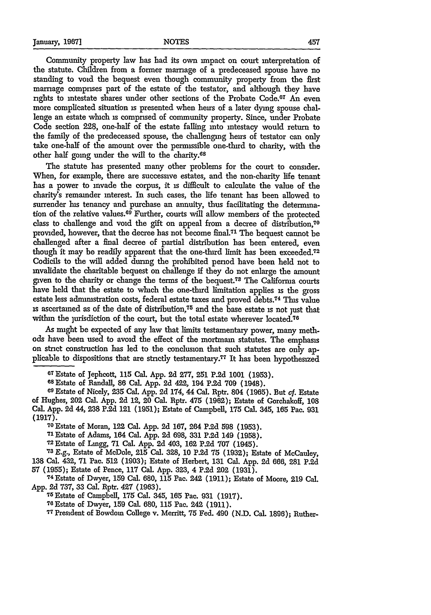Community property law has had its own impact on court interpretation of the statute. Children from a former marriage of a predeceased spouse have no standing to void the bequest even though community property from the first marriage comprises part of the estate of the testator, and although they have rights to intestate shares under other sections of the Probate Code. $^{67}$  An even more complicated situation is presented when heirs of a later dying spouse challenge an estate which is comprised of community property. Since, under Probate Code section 228, one-half of the estate falling into intestacy would return to the family of the predeceased spouse, the challenging heirs of testator can only take one-half of the amount over the permissible one-third to charity, with the other half going under the will to the charity.<sup>68</sup>

The statute has presented many other problems for the court to consider. When, for example, there are successive estates, and the non-charity life tenant has a power to invade the corpus, it **is** difficult to calculate the value of the charity's remainder interest. **In** such cases, the life tenant has been allowed to surrender his tenancy and purchase an annuity, thus facilitating the determination of the relative values. 69 Further, courts will allow members of the protected class to challenge and void the gift on appeal from a decree of distribution,<sup>70</sup> provided, however, that the decree has not become final.71 The bequest cannot be challenged after a final decree of partial distribution has been entered, even though it may **be** readily apparent that the one-third limit has been exceeded.72 Codicils to the will added during the prohibited period have been held not to invalidate the charitable bequest on challenge if they do not enlarge the amount given to the charity or change the terms of the bequest.78 The Califorma courts have held that the estate to which the one-third limitation applies **is** the gross estate less administration costs, federal estate taxes and proved debts.<sup>74</sup> This value is ascertained as of the date of distribution,75 and the base estate **is** not ]ust that within the jurisdiction of the court, but the total estate wherever located.<sup>76</sup>

As might be expected of any law that limits testamentary power, many methods have been used to avoid the effect of the mortmain statutes. The emphasis on strict construction has led to the conclusion that such statutes are only applicable to dispositions that are strictly testamentary.<sup>77</sup> It has been hypothesized

**67Estate** of Jephcott, 115 Cal. App. **2d** 277, 251 P.2d 1001 (1953).

OsEstate of Randall, 86 Cal. App. 2d 422, 194 **P.2d** 709 (1948).

**69Estate** of Nicely, **235** Cal. App. **2d** 174, 44 Cal. Rptr. 804 (1965). But **cf.** Estate of Hughes, 202 Cal. App. **2d** 12, 20 Cal. Rptr. 475 (1962); Estate of Gorchakoff, **108** Cal. App. **2d** 44, 238 P.2d 121 (1951); Estate of Campbell, **175** Cal. 345, 165 Pac. **931** (1917).

**70** Estate of Moran, 122 Cal. App. **2d 167,** 264 P.2d 598 (1953).

**71** Estate of Adams, 164 Cal. App. **2d** 698, **331 P.2d** 149 (1958).

**72** Estate of Lingg, **71** Cal. App. **2d** 403, **162** P.2d 707 (1945).

*"1* E.g., Estate of McDole, 215 Cal. 328, **10** P.2d 75 (1932); Estate of McCauley, **138** Cal. 432, **71** Pac. 512 (1903); Estate of Herbert, **131** Cal. App. 2d **666, 281** P.2d 57 (1955); Estate of Pence, **117** Cal. App. 323, 4 P.2d 202 (1931).

74Estate of Dwyer, **159** Cal. 680, 115 Pac. 242 (1911); Estate of Moore, **219** Cal. App. 2d 737, 33 Cal. Rptr. 427 (1963).<br><sup>76</sup> Estate of Campbell, 175 Cal. 345, 165 Pac. 931 (1917).

76Estate of Dwyer, 159 Cal. 680, 115 Pac. 242 (1911).

**77** President of Bowdon College v. Merritt, 75 Fed. 490 (N.D. Cal. 1896); Ruther-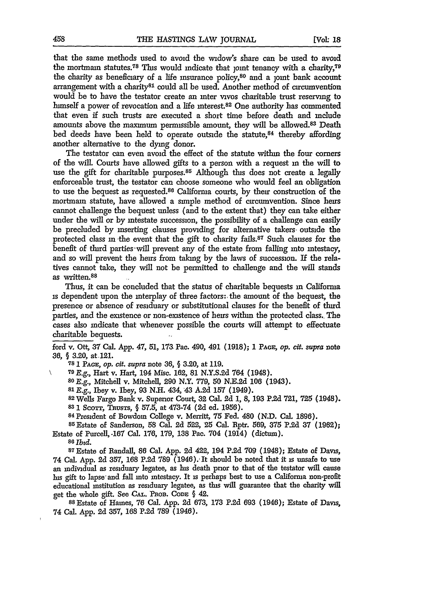that the same methods used to avoid the widow's share can be used to avoid the mortmain statutes.<sup>78</sup> This would indicate that joint tenancy with a charity, $79$ the charity as beneficiary of a life insurance policy, $80$  and a joint bank account arrangement with a charity<sup>81</sup> could all be used. Another method of circumvention would be to have the testator create an inter vivos charitable trust reserving to himself a power of revocation and a life interest.<sup>82</sup> One authority has commented that even if such trusts are executed a short time before death and include amounts above the maximum permissible amount, they will be allowed.<sup>83</sup> Death bed deeds have been held to operate outside the statute,<sup>84</sup> thereby affording another alternative to the dying donor.

The testator can even avoid the effect of the statute within the four corners of the will. Courts have allowed gifts to a person with a request in the will to use the gift for charitable purposes.<sup>85</sup> Although this does not create a legally enforceable trust, the testator can choose someone who would feel an obligation to use the bequest as requested.88 California courts, by their construction of the mortmain statute, have allowed a simple method of circumvention. Since heirs cannot challenge the bequest unless (and to the extent that) they can take either under the will or **by** intestate succession, the possibility of a challenge can easily be precluded **by** inserting clauses providing for alternative takers. outside the protected class in -the event that the gift to charity fails.87 Such clauses for the benefit of third parties will prevent any of the estate from falling into intestacy, and so will prevent the heirs from takang by the laws of succession. If the relatives cannot take, they will not be permitted to challenge and the will stands as written.88

Thus, it can be concluded that the status of charitable bequests in Califorma is dependent upon the interplay of three factors: the amount of the bequest, the presence or absence of residuary or substitutional clauses for the benefit of third parties, and the existence or non-existence of heirs within the protected class. The cases also indicate that whenever possible the courts will attempt to effectuate charitable bequests.

ford v. Ott, 37 Cal. App. 47, 51, 173 Pao. 490, 491 (1918); **1 PAGE,** *op. cit. supra* note 36, § 3.20, at 121.

**78 1 PAGE,** *op. cit. supra* note 36, **§** 3.20, at 119.

**<sup>79</sup>***E.g.,* Hart v. Hart, 194 Misc. 162, 81 N.Y.S.2d 764 (1948).

*<sup>80</sup>E.g.,* Mitchell v. Mitchell, **290** N.Y. 779, 50 N.E.2d **106** (1943).

**s** E.g., Ibey v. Ibey, 93 N.H. 434, 43 A.2d 157 (1949). <sup>8</sup>

2 Wells Fargo Bank v. Superior Court, **32** Cal. 2d **1,** 8, **193 P.2d 721, 725** (1948).

**83 1** Scorr, ThusTs, § **57.5,** at 473-74 **(2d** ed. **1956).**

**<sup>84</sup>**President of Bowdom College v. Merritt, **75** Fed. 480 **(N.D.** Cal. **1896).** <sup>8</sup> <sup>5</sup> Estate of Sanderson, 58 Cal. **2d** 522, **'25** Cal. Rptr. 569, **375** P.2d **37 (1962);**

Estate of Purcell, **.167** Cal. **176, 179, 138** Pac. 704 (1914) (dictum).

**<sup>86</sup>***Ibid.*

**87** Estate of Randall, **86** Cal. App. **2d** 422, 194 P.2d **709** (1948); Estate of Davis, 74 Cal. App. **2d** 357, **168 P.2d 789** (1946). It should be noted that **it** is unsafe to use an individual as residuary legatee, as his death prior to that of the testator will cause his gift to lapse and fall into intestacy. It is perhaps best to use a California non-profit educational institution as residuary legatee, as this will guarantee that the charity will get the whole gift. See **CAL.** PnoB. **CODE** § 42.

**<sup>8</sup> <sup>8</sup>**Estate of Haines, 76 Cal. App. **2d** 673, **173** P.2d 693 (1946); Estate of Davis, 74 Cal. App. **2d 357,** 168 P.2d 789 (1946).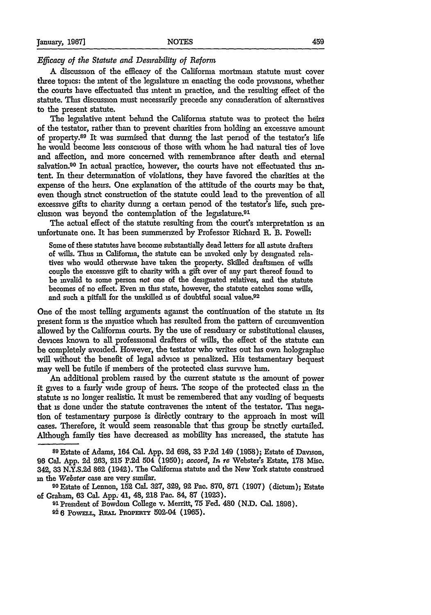#### *Efficacy of the Statute and Desirability of Reform*

A discussion of the efficacy of the California mortmain statute must cover three topics: the intent of the legislature **in** enacting the code provisions, whether the courts have effectuated this intent in practice, and the resulting effect of the statute. This discussion must necessarily precede any consideration of alternatives to the present statute.

The legislative intent behind the California statute was to protect the heirs of the testator, rather than to prevent charities from holding an excessive amount of property.<sup>89</sup> It was surmised that during the last period of the testator's life he would become less conscious of those with whom he had natural ties of love and affection, and more concerned with remembrance after death and eternal salvation.<sup>90</sup> In actual practice, however, the courts have not effectuated this intent. In their determination of violations, they have favored the charities at the expense of the heirs. One explanation of the attitude of the courts may be that, even though strict construction of the statute could lead to the prevention of all excessive gifts to charity during a certain period of the testator's life, such preclusion was beyond the contemplation of the legislature.<sup>91</sup>

The actual effect of the statute resulting from the court's interpretation is an unfortunate one. It has been summenzed by Professor Richard R. B. Powell:

Some of these statutes have become substantially dead letters for all astute drafters of wills. Thus in Califorma, the statute **can** be invoked only by designated relatives who would otherwise have taken the property. Skilled draftsmen of wills couple the excessive gift to charity with a gift over of any part thereof found to be invalid to some person *not* one of the designated relatives, and the statute becomes of no effect. Even in this state, however, the statute catches some wills, and such a pitfall for the unskilled **is** of doubtful social value.<sup>92</sup>

One of the most telling arguments against the continuation of the statute **in** its present form **is** the injustice which has resulted from the pattern of circumvention allowed by the California courts. **By** the use of residuary or substitutional clauses, devices known to all professional drafters of wills, the effect of the statute can be completely avoided. However, the testator who writes out his own holographic will without the benefit of legal advice **is** penalized. His testamentary bequest may well be futile if members of the protected class survive him.

An additional problem raised by the current statute **is** the amount of power it gives to a fairly wide group of heirs. The scope of the protected class **in** the statute **is** no longer realistic. It must be remembered that any voiding of bequests that is done under the statute contravenes the intent of the testator. This negation of testamentary purpose is directly contrary to the approach in most will cases. Therefore, it would seem reasonable that this group be strictly curtailed. Although family ties have decreased as mobility has increased, the statute has

**<sup>90</sup>**Estate of Lennon, **152** Cal. **327, 329,** 92 Pac. 870, **871 (1907)** (dictum); Estate of Graham, 63 Cal. App; 41, 48, **218** Pac. 84, 87 (1923).

91President of Bowdom College v. Merritt, 75 Fed. 480 (N.D. Cal. 1896). **026 POWELL, REAL PROPERTY 502-04 (1965).** 

**s9** Estate of Adams, 164 Cal. App. 2d 698, **33** P.2d 149 (1958); Estate of Davison, **96** Cal. App. **2d** 263, **215 P.2d** 504 (1950); *accord, In re* Webster's Estate, 178 Misc. 342, **33** N.Y.S.2d **862** (1942). The California statute and the New York statute construed **in** the *Webster* case are very similar.